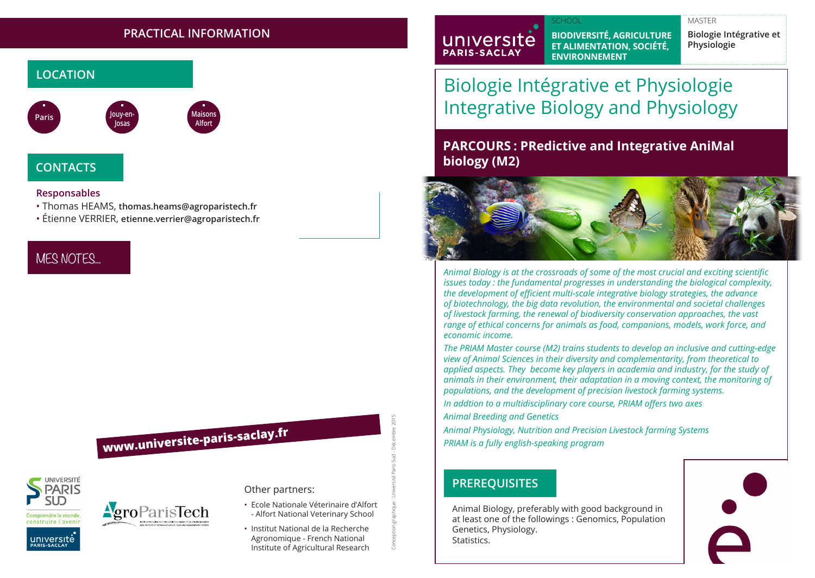### **PRACTICAL INFORMATION**



## **CONTACTS**

### **Responsables**

- Thomas HEAMS, **thomas.heams@agroparistech.fr**
- Étienne VERRIER, **etienne.verrier@agroparistech.fr**

## MES NOTES...

# **www.universite-paris-saclay.fr**



# **AgroParisTech**

### Other partners:

• Ecole Nationale Véterinaire d'Alfort - Alfort National Veterinary School

Conception graphique : Université Paris-Sud - Décembre 2015

• Institut National de la Recherche Agronomique - French National Institute of Agricultural Research

#### SCHOOL MASTER SCHOOL SCHOOL SCHOOL SCHOOL SCHOOL SCHOOL SCHOOL SCHOOL SCHOOL SCHOOL SCHOOL SCHOOL SCHOOL SCHOOL

universite **PARIS-SACLAY** 

**BIODIVERSITÉ, AGRICULTURE ET ALIMENTATION, SOCIÉTÉ, ENVIRONNEMENT**

**Biologie Intégrative et Physiologie**

# Biologie Intégrative et Physiologie Integrative Biology and Physiology

### **PARCOURS : PRedictive and Integrative AniMal biology (M2)**



*Animal Biology is at the crossroads of some of the most crucial and exciting scientific issues today : the fundamental progresses in understanding the biological complexity, the development of efficient multi-scale integrative biology strategies, the advance of biotechnology, the big data revolution, the environmental and societal challenges of livestock farming, the renewal of biodiversity conservation approaches, the vast range of ethical concerns for animals as food, companions, models, work force, and economic income.* 

*The PRIAM Master course (M2) trains students to develop an inclusive and cutting-edge view of Animal Sciences in their diversity and complementarity, from theoretical to applied aspects. They become key players in academia and industry, for the study of animals in their environment, their adaptation in a moving context, the monitoring of populations, and the development of precision livestock farming systems.* 

*In addtion to a multidisciplinary core course, PRIAM offers two axes Animal Breeding and Genetics*

*Animal Physiology, Nutrition and Precision Livestock farming Systems PRIAM is a fully english-speaking program*

### **PREREQUISITES**

Animal Biology, preferably with good background in at least one of the followings : Genomics, Population Genetics, Physiology. Statistics.